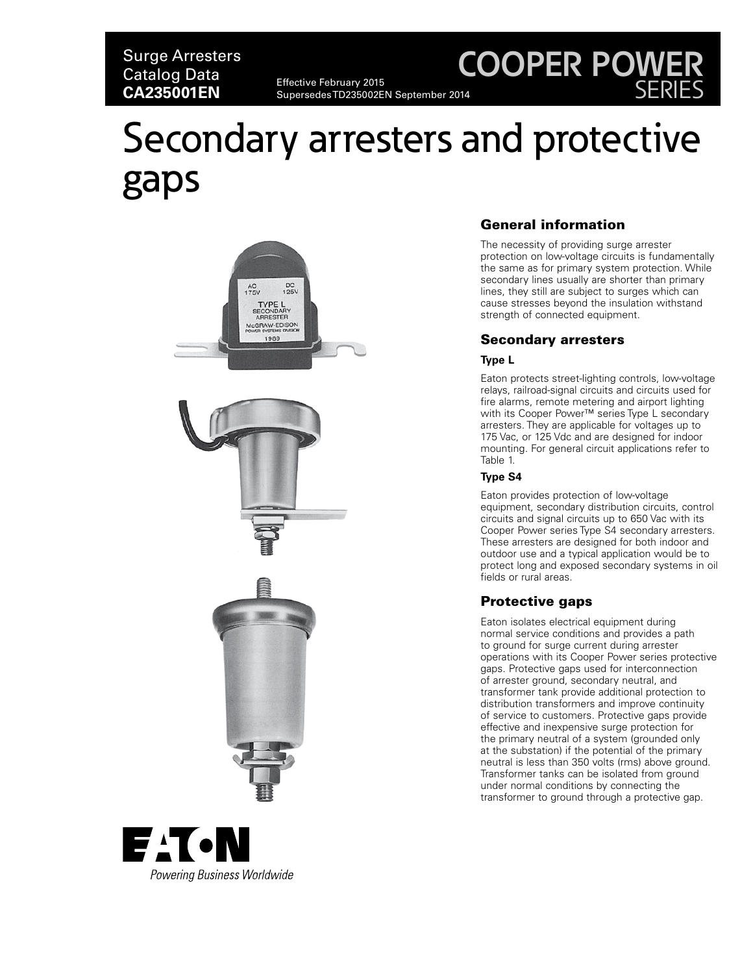### Surge Arresters Catalog Data Effective February 2015<br>**CA235001EN** SupersedesTD235002E

Supersedes TD235002EN September 2014

## **COOPER POWER** SERIES

# Secondary arresters and protective gaps







#### General information

The necessity of providing surge arrester protection on low-voltage circuits is fundamentally the same as for primary system protection. While secondary lines usually are shorter than primary lines, they still are subject to surges which can cause stresses beyond the insulation withstand strength of connected equipment.

#### Secondary arresters

#### **Type L**

Eaton protects street-lighting controls, low-voltage relays, railroad-signal circuits and circuits used for fire alarms, remote metering and airport lighting with its Cooper Power™ series Type L secondary arresters. They are applicable for voltages up to 175 Vac, or 125 Vdc and are designed for indoor mounting. For general circuit applications refer to Table 1.

#### **Type S4**

Eaton provides protection of low-voltage equipment, secondary distribution circuits, control circuits and signal circuits up to 650 Vac with its Cooper Power series Type S4 secondary arresters. These arresters are designed for both indoor and outdoor use and a typical application would be to protect long and exposed secondary systems in oil fields or rural areas.

#### Protective gaps

Eaton isolates electrical equipment during normal service conditions and provides a path to ground for surge current during arrester operations with its Cooper Power series protective gaps. Protective gaps used for interconnection of arrester ground, secondary neutral, and transformer tank provide additional protection to distribution transformers and improve continuity of service to customers. Protective gaps provide effective and inexpensive surge protection for the primary neutral of a system (grounded only at the substation) if the potential of the primary neutral is less than 350 volts (rms) above ground. Transformer tanks can be isolated from ground under normal conditions by connecting the transformer to ground through a protective gap.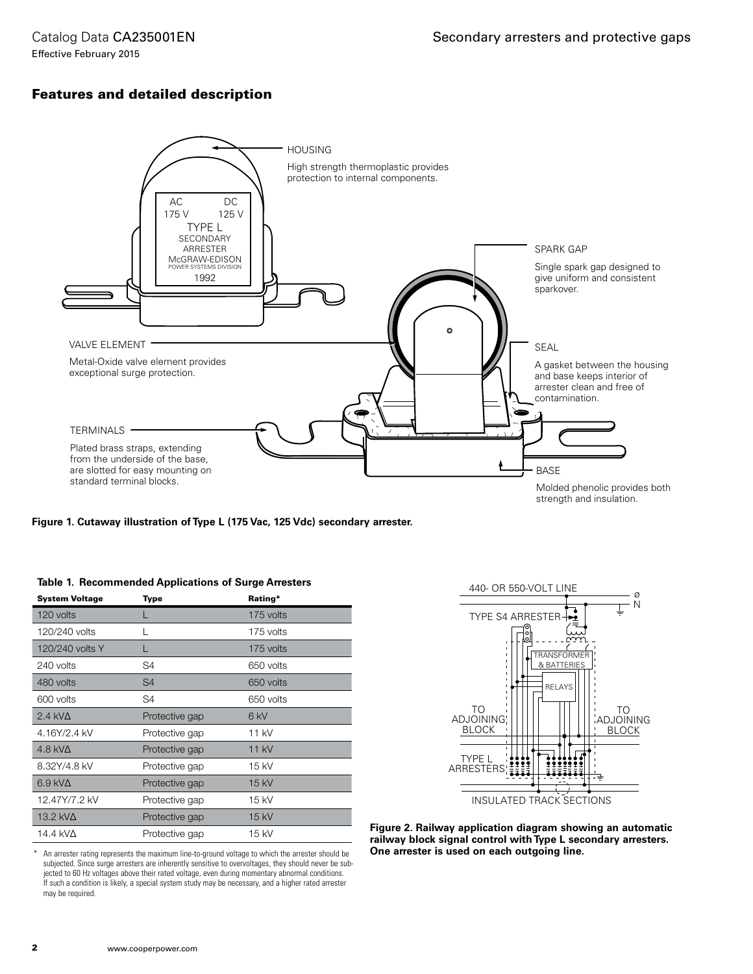Catalog Data CA235001EN Effective February 2015

#### Features and detailed description



#### **Figure 1. Cutaway illustration of Type L (175 Vac, 125 Vdc) secondary arrester.**

| <b>System Voltage</b> | <b>Type</b>    | Rating*         |
|-----------------------|----------------|-----------------|
| 120 volts             |                | 175 volts       |
| 120/240 volts         |                | 175 volts       |
| 120/240 volts Y       |                | 175 volts       |
| 240 volts             | S4             | 650 volts       |
| 480 volts             | S <sub>4</sub> | 650 volts       |
| 600 volts             | S4             | 650 volts       |
| $2.4$ kV $\Delta$     | Protective gap | 6 <sub>kV</sub> |
| 4.16Y/2.4 kV          | Protective gap | 11 kV           |
| 4.8 kV $\Delta$       | Protective gap | 11 kV           |
| 8.32Y/4.8 kV          | Protective gap | 15 kV           |
| $6.9$ kV $\Delta$     | Protective gap | 15 kV           |
| 12.47Y/7.2 kV         | Protective gap | 15 kV           |
| 13.2 kV $\Delta$      | Protective gap | $15$ kV         |
| 14.4 kV $\Delta$      | Protective gap | 15 kV           |

#### **Table 1. Recommended Applications of Surge Arresters**



**Figure 2. Railway application diagram showing an automatic railway block signal control with Type L secondary arresters. One arrester is used on each outgoing line.**

An arrester rating represents the maximum line-to-ground voltage to which the arrester should be subjected. Since surge arresters are inherently sensitive to overvoltages, they should never be subjected to 60 Hz voltages above their rated voltage, even during momentary abnormal conditions. If such a condition is likely, a special system study may be necessary, and a higher rated arrester may be required.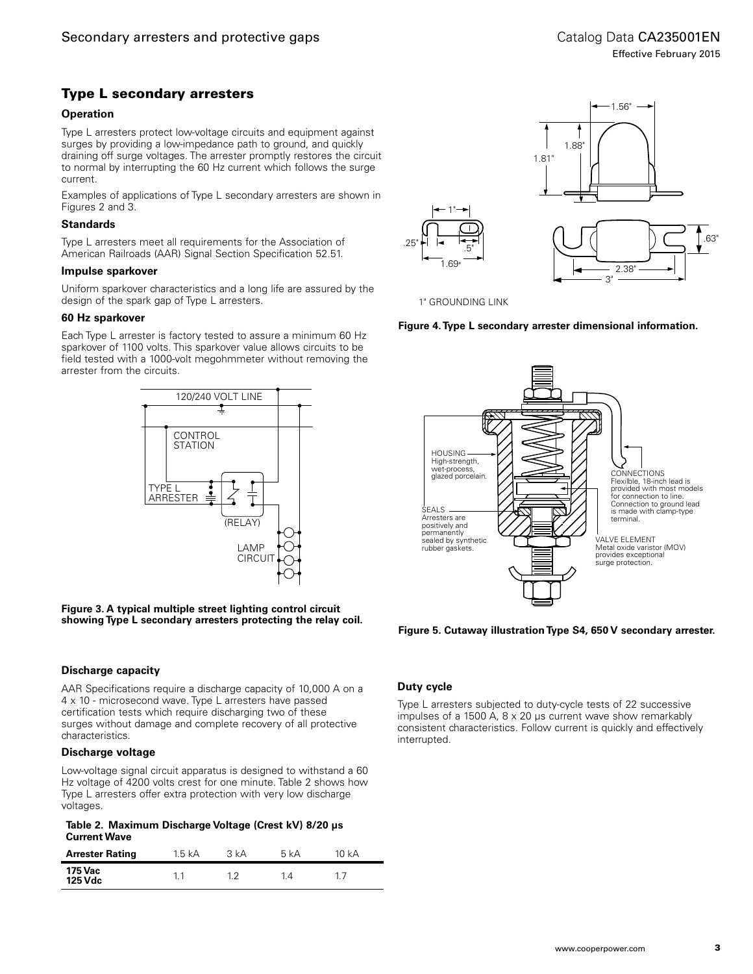#### Type L secondary arresters

#### **Operation**

Type L arresters protect low-voltage circuits and equipment against surges by providing a low-impedance path to ground, and quickly draining off surge voltages. The arrester promptly restores the circuit to normal by interrupting the 60 Hz current which follows the surge current.

Examples of applications of Type L secondary arresters are shown in Figures 2 and 3.

#### **Standards**

Type L arresters meet all requirements for the Association of American Railroads (AAR) Signal Section Specification 52.51.

#### **Impulse sparkover**

Uniform sparkover characteristics and a long life are assured by the design of the spark gap of Type L arresters.

#### **60 Hz sparkover**

Each Type L arrester is factory tested to assure a minimum 60 Hz sparkover of 1100 volts. This sparkover value allows circuits to be field tested with a 1000-volt megohmmeter without removing the arrester from the circuits.



**Figure 3. A typical multiple street lighting control circuit showing Type L secondary arresters protecting the relay coil.**

#### **Discharge capacity**

AAR Specifications require a discharge capacity of 10,000 A on a 4 x 10 - microsecond wave. Type L arresters have passed certification tests which require discharging two of these surges without damage and complete recovery of all protective characteristics.

#### **Discharge voltage**

Low-voltage signal circuit apparatus is designed to withstand a 60 Hz voltage of 4200 volts crest for one minute. Table 2 shows how Type L arresters offer extra protection with very low discharge voltages.

**Table 2. Maximum Discharge Voltage (Crest kV) 8/20 μs Current Wave**

| <b>Arrester Rating</b> | 1.5 kA | 3 kA | 5 kA | 10 kA |
|------------------------|--------|------|------|-------|
| 175 Vac<br>125 Vdc     |        | າາ   | 1.4  |       |



1" GROUNDING LINK





#### **Figure 5. Cutaway illustration Type S4, 650 V secondary arrester.**

#### **Duty cycle**

Type L arresters subjected to duty-cycle tests of 22 successive impulses of a 1500 A, 8 x 20 µs current wave show remarkably consistent characteristics. Follow current is quickly and effectively interrupted.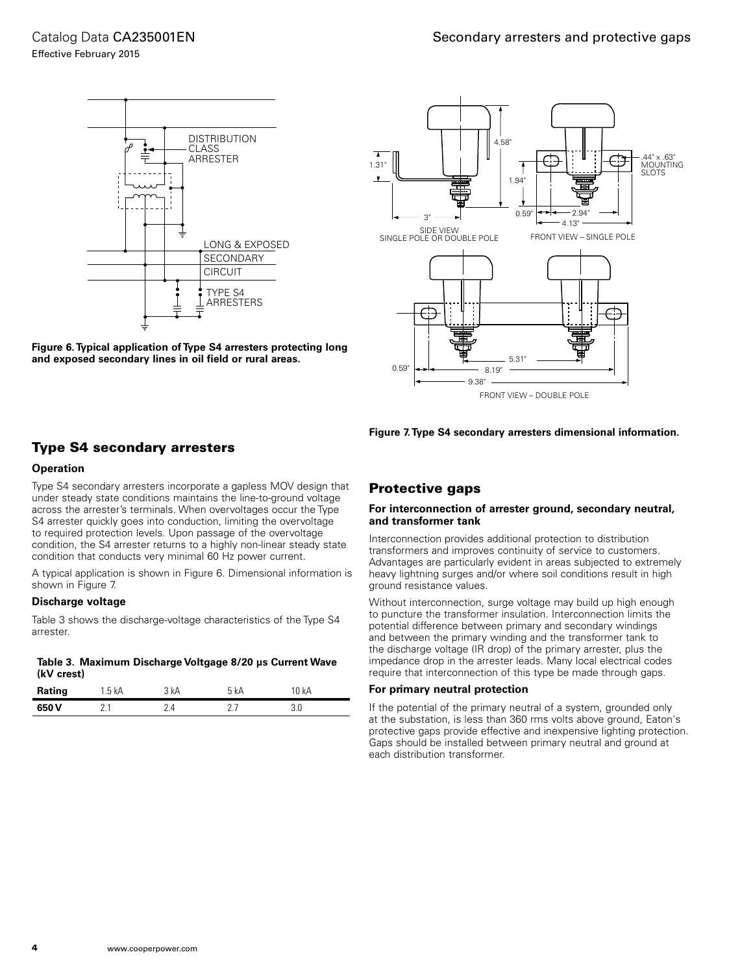

**Figure 6. Typical application of Type S4 arresters protecting long and exposed secondary lines in oil field or rural areas.**



**Figure 7. Type S4 secondary arresters dimensional information.**

#### Type S4 secondary arresters

#### **Operation**

Type S4 secondary arresters incorporate a gapless MOV design that under steady state conditions maintains the line-to-ground voltage across the arrester's terminals. When overvoltages occur the Type S4 arrester quickly goes into conduction, limiting the overvoltage to required protection levels. Upon passage of the overvoltage condition, the S4 arrester returns to a highly non-linear steady state condition that conducts very minimal 60 Hz power current.

A typical application is shown in Figure 6. Dimensional information is shown in Figure 7.

#### **Discharge voltage**

Table 3 shows the discharge-voltage characteristics of the Type S4 arrester.

#### **Table 3. Maximum Discharge Voltgage 8/20 μs Current Wave (kV crest)**

| Rating | 1.5 kA | 3 kA | kΑ | 0 kA |
|--------|--------|------|----|------|
| 650 V  | - -    |      |    |      |

#### Protective gaps

#### **For interconnection of arrester ground, secondary neutral, and transformer tank**

Interconnection provides additional protection to distribution transformers and improves continuity of service to customers. Advantages are particularly evident in areas subjected to extremely heavy lightning surges and/or where soil conditions result in high ground resistance values.

Without interconnection, surge voltage may build up high enough to puncture the transformer insulation. Interconnection limits the potential difference between primary and secondary windings and between the primary winding and the transformer tank to the discharge voltage (IR drop) of the primary arrester, plus the impedance drop in the arrester leads. Many local electrical codes require that interconnection of this type be made through gaps.

#### **For primary neutral protection**

If the potential of the primary neutral of a system, grounded only at the substation, is less than 360 rms volts above ground, Eaton's protective gaps provide effective and inexpensive lighting protection. Gaps should be installed between primary neutral and ground at each distribution transformer.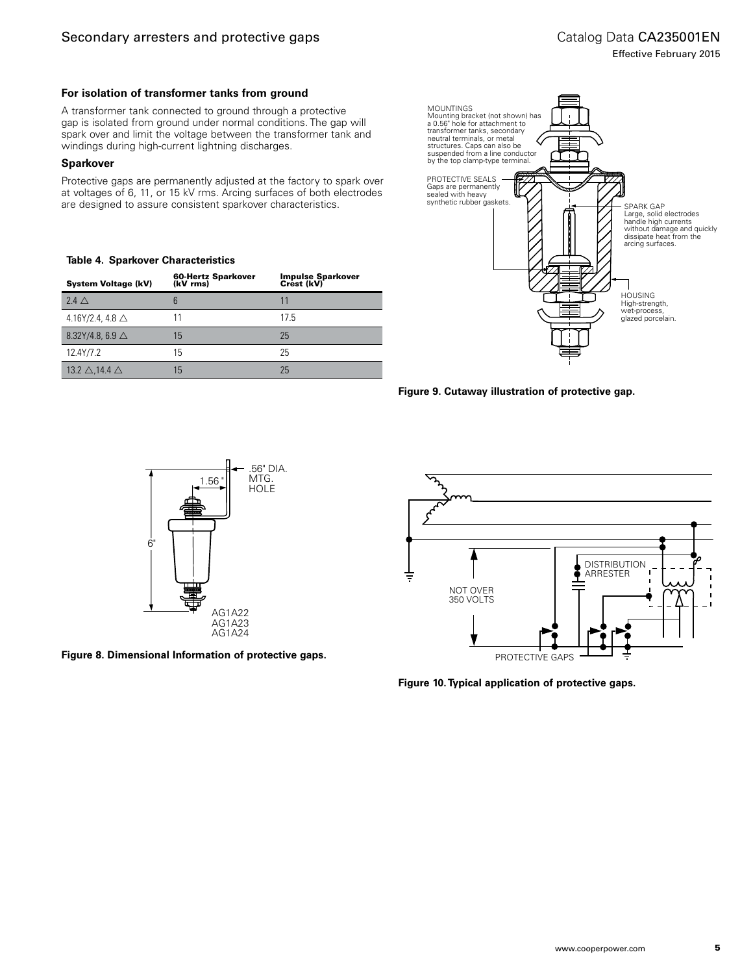Effective February 2015

#### **For isolation of transformer tanks from ground**

A transformer tank connected to ground through a protective gap is isolated from ground under normal conditions. The gap will spark over and limit the voltage between the transformer tank and windings during high-current lightning discharges.

#### **Sparkover**

Protective gaps are permanently adjusted at the factory to spark over at voltages of 6, 11, or 15 kV rms. Arcing surfaces of both electrodes are designed to assure consistent sparkover characteristics.

#### **Table 4. Sparkover Characteristics**

| <b>System Voltage (kV)</b>         | 60-Hertz Sparkover<br>(kV rms) | Impulse Sparkover<br>Crest (kV) |
|------------------------------------|--------------------------------|---------------------------------|
| $24\wedge$                         | 6                              | 11                              |
| 4.16Y/2.4, 4.8 $\triangle$         |                                | 17.5                            |
| 8.32Y/4.8, 6.9 $\triangle$         | 15                             | 25                              |
| 12.4Y/7.2                          | 15                             | 25                              |
| 13.2 $\triangle$ .14.4 $\triangle$ | 15                             | 25                              |







**Figure 8. Dimensional Information of protective gaps.**



**Figure 10. Typical application of protective gaps.**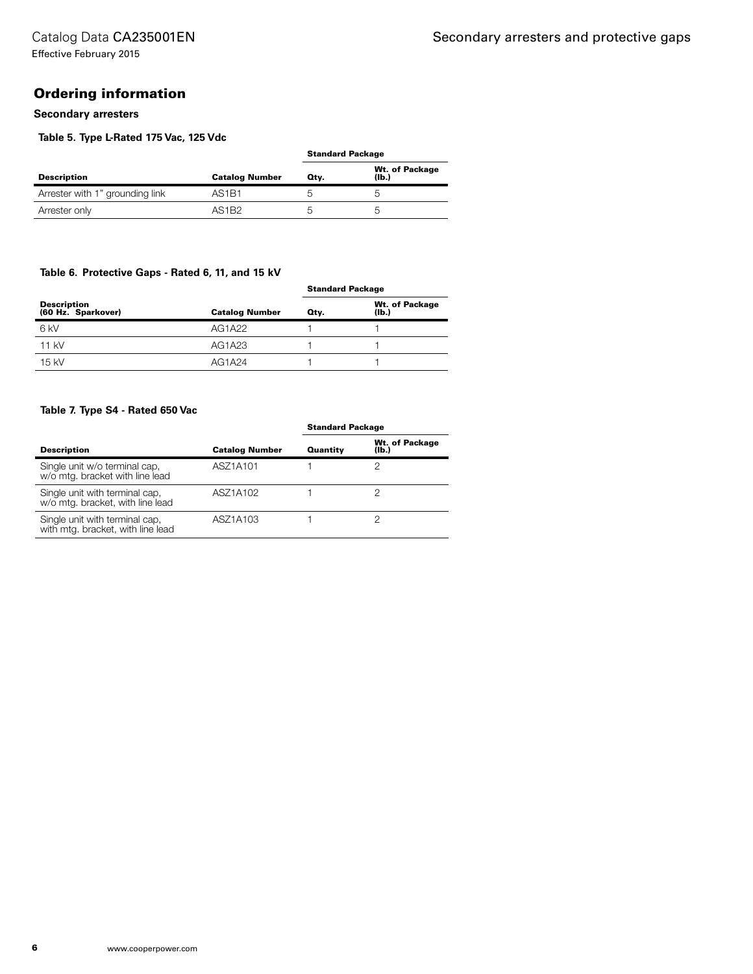#### Ordering information

#### **Secondary arresters**

#### **Table 5. Type L-Rated 175 Vac, 125 Vdc**

|                                 |                                |      | <b>Standard Package</b>             |  |
|---------------------------------|--------------------------------|------|-------------------------------------|--|
| <b>Description</b>              | <b>Catalog Number</b>          | Qtv. | Wt. of Package<br>(I <sub>b</sub> ) |  |
| Arrester with 1" grounding link | AS <sub>1</sub> B <sub>1</sub> |      | G                                   |  |
| Arrester only                   | AS <sub>1</sub> B <sub>2</sub> |      | G                                   |  |

#### **Table 6. Protective Gaps - Rated 6, 11, and 15 kV**

|                                   | <b>Catalog Number</b> | <b>Standard Package</b> |                         |
|-----------------------------------|-----------------------|-------------------------|-------------------------|
| Description<br>(60 Hz. Sparkover) |                       | Otv.                    | Wt. of Package<br>(Ib.) |
| 6 kV                              | AG1A22                |                         |                         |
| $11$ kV                           | AG1A23                |                         |                         |
| $15$ kV                           | AG1A24                |                         |                         |

#### **Table 7. Type S4 - Rated 650 Vac**

|                                                                     |                       | <b>Standard Package</b> |                         |  |
|---------------------------------------------------------------------|-----------------------|-------------------------|-------------------------|--|
| <b>Description</b>                                                  | <b>Catalog Number</b> | Quantity                | Wt. of Package<br>(lb.) |  |
| Single unit w/o terminal cap,<br>w/o mtg. bracket with line lead    | ASZ1A101              |                         |                         |  |
| Single unit with terminal cap,<br>w/o mtg. bracket, with line lead  | ASZ1A102              |                         |                         |  |
| Single unit with terminal cap,<br>with mtg. bracket, with line lead | ASZ1A103              |                         |                         |  |